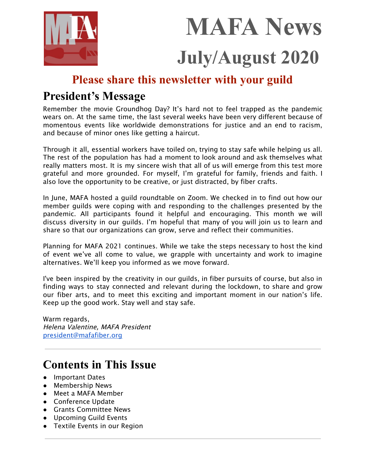



# **Please share this newsletter with your guild**

# **President's Message**

Remember the movie Groundhog Day? It's hard not to feel trapped as the pandemic wears on. At the same time, the last several weeks have been very different because of momentous events like worldwide demonstrations for justice and an end to racism, and because of minor ones like getting a haircut.

Through it all, essential workers have toiled on, trying to stay safe while helping us all. The rest of the population has had a moment to look around and ask themselves what really matters most. It is my sincere wish that all of us will emerge from this test more grateful and more grounded. For myself, I'm grateful for family, friends and faith. I also love the opportunity to be creative, or just distracted, by fiber crafts.

In June, MAFA hosted a guild roundtable on Zoom. We checked in to find out how our member guilds were coping with and responding to the challenges presented by the pandemic. All participants found it helpful and encouraging. This month we will discuss diversity in our guilds. I'm hopeful that many of you will join us to learn and share so that our organizations can grow, serve and reflect their communities.

Planning for MAFA 2021 continues. While we take the steps necessary to host the kind of event we've all come to value, we grapple with uncertainty and work to imagine alternatives. We'll keep you informed as we move forward.

I've been inspired by the creativity in our guilds, in fiber pursuits of course, but also in finding ways to stay connected and relevant during the lockdown, to share and grow our fiber arts, and to meet this exciting and important moment in our nation's life. Keep up the good work. Stay well and stay safe.

Warm regards, Helena Valentine, MAFA President [president@mafafiber.org](mailto:president@mafafiber.org)

# **Contents in This Issue**

- Important Dates
- Membership News
- Meet a MAFA Member
- Conference Update
- Grants Committee News
- Upcoming Guild Events
- Textile Events in our Region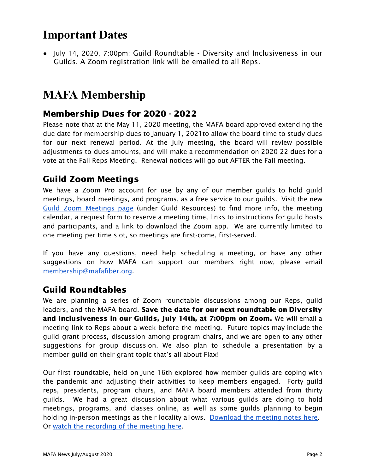# **Important Dates**

● July 14, 2020, 7:00pm: Guild Roundtable - Diversity and Inclusiveness in our Guilds. A Zoom registration link will be emailed to all Reps.

# **MAFA Membership**

## Membership Dues for 2020 - 2022

Please note that at the May 11, 2020 meeting, the MAFA board approved extending the due date for membership dues to January 1, 2021to allow the board time to study dues for our next renewal period. At the July meeting, the board will review possible adjustments to dues amounts, and will make a recommendation on 2020-22 dues for a vote at the Fall Reps Meeting. Renewal notices will go out AFTER the Fall meeting.

## Guild Zoom Meetings

We have a Zoom Pro account for use by any of our member guilds to hold guild meetings, board meetings, and programs, as a free service to our guilds. Visit the new Guild Zoom [Meetings](https://mafafiber.org/guild-resources/guild-zoom-meetings/) page (under Guild Resources) to find more info, the meeting calendar, a request form to reserve a meeting time, links to instructions for guild hosts and participants, and a link to download the Zoom app. We are currently limited to one meeting per time slot, so meetings are first-come, first-served.

If you have any questions, need help scheduling a meeting, or have any other suggestions on how MAFA can support our members right now, please email [membership@mafafiber.org.](mailto:membership@mafafiber.org)

# Guild Roundtables

We are planning a series of Zoom roundtable discussions among our Reps, guild leaders, and the MAFA board. Save the date for our next roundtable on Diversity and Inclusiveness in our Guilds, July 14th, at 7:00pm on Zoom. We will email a meeting link to Reps about a week before the meeting. Future topics may include the guild grant process, discussion among program chairs, and we are open to any other suggestions for group discussion. We also plan to schedule a presentation by a member guild on their grant topic that's all about Flax!

Our first roundtable, held on June 16th explored how member guilds are coping with the pandemic and adjusting their activities to keep members engaged. Forty guild reps, presidents, program chairs, and MAFA board members attended from thirty guilds. We had a great discussion about what various guilds are doing to hold meetings, programs, and classes online, as well as some guilds planning to begin holding in-person meetings as their locality allows. [Download](https://mafafiber.org/wp-content/uploads/Reps-Meetings/Guild-Roundtable-Meeting-Notes-20200616.pdf) the meeting notes here. Or watch the [recording](https://tinyurl.com/yckzzpmd) of the meeting here.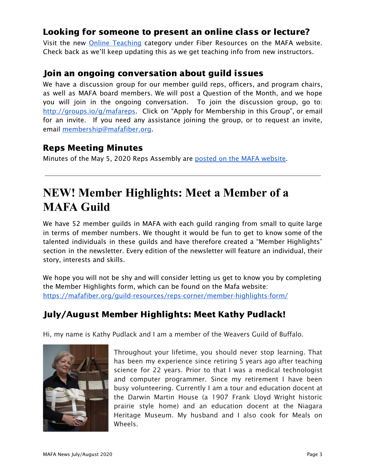## Looking for someone to present an online class or lecture?

Visit the new Online [Teaching](https://mafafiber.org/resource_category/online-teaching/) category under Fiber Resources on the MAFA website. Check back as we'll keep updating this as we get teaching info from new instructors.

## Join an ongoing conversation about guild issues

We have a discussion group for our member guild reps, officers, and program chairs, as well as MAFA board members. We will post a Question of the Month, and we hope you will join in the ongoing conversation. To join the discussion group, go to: <http://groups.io/g/mafareps>. Click on "Apply for Membership in this Group", or email for an invite. If you need any assistance joining the group, or to request an invite, email [membership@mafafiber.org.](mailto:membership@mafafiber.org)

## Reps Meeting Minutes

Minutes of the May 5, 2020 Reps Assembly are posted on the MAFA [website](https://mafafiber.org/wp-content/uploads/Reps-Meetings/RepsMeetingMinutesMay_5_2020.pdf).

# **NEW! Member Highlights: Meet a Member of a MAFA Guild**

We have 52 member guilds in MAFA with each guild ranging from small to quite large in terms of member numbers. We thought it would be fun to get to know some of the talented individuals in these guilds and have therefore created a "Member Highlights" section in the newsletter. Every edition of the newsletter will feature an individual, their story, interests and skills.

We hope you will not be shy and will consider letting us get to know you by completing the Member Highlights form, which can be found on the Mafa website: <https://mafafiber.org/guild-resources/reps-corner/member-highlights-form/>

# July/August Member Highlights: Meet Kathy Pudlack!

Hi, my name is Kathy Pudlack and I am a member of the Weavers Guild of Buffalo.



Throughout your lifetime, you should never stop learning. That has been my experience since retiring 5 years ago after teaching science for 22 years. Prior to that I was a medical technologist and computer programmer. Since my retirement I have been busy volunteering. Currently I am a tour and education docent at the Darwin Martin House (a 1907 Frank Lloyd Wright historic prairie style home) and an education docent at the Niagara Heritage Museum. My husband and I also cook for Meals on Wheels.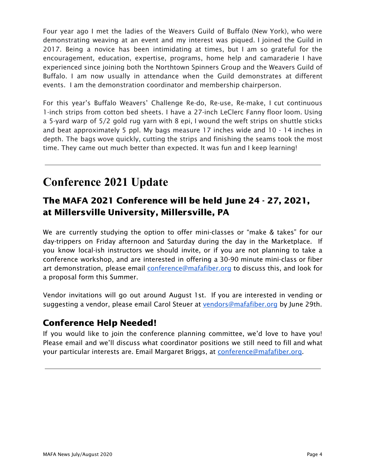Four year ago I met the ladies of the Weavers Guild of Buffalo (New York), who were demonstrating weaving at an event and my interest was piqued. I joined the Guild in 2017. Being a novice has been intimidating at times, but I am so grateful for the encouragement, education, expertise, programs, home help and camaraderie I have experienced since joining both the Northtown Spinners Group and the Weavers Guild of Buffalo. I am now usually in attendance when the Guild demonstrates at different events. I am the demonstration coordinator and membership chairperson.

For this year's Buffalo Weavers' Challenge Re-do, Re-use, Re-make, I cut continuous 1-inch strips from cotton bed sheets. I have a 27-inch LeClerc Fanny floor loom. Using a 5-yard warp of 5/2 gold rug yarn with 8 epi, I wound the weft strips on shuttle sticks and beat approximately 5 ppl. My bags measure 17 inches wide and 10 - 14 inches in depth. The bags wove quickly, cutting the strips and finishing the seams took the most time. They came out much better than expected. It was fun and I keep learning!

# **Conference 2021 Update**

# The MAFA 2021 Conference will be held June 24 - 27, 2021, at Millersville University, Millersville, PA

We are currently studying the option to offer mini-classes or "make & takes" for our day-trippers on Friday afternoon and Saturday during the day in the Marketplace. If you know local-ish instructors we should invite, or if you are not planning to take a conference workshop, and are interested in offering a 30-90 minute mini-class or fiber art demonstration, please email [conference@mafafiber.org](mailto:conference@mafafiber.org) to discuss this, and look for a proposal form this Summer.

Vendor invitations will go out around August 1st. If you are interested in vending or suggesting a vendor, please email Carol Steuer at [vendors@mafafiber.org](mailto:vendors@mafafiber.org) by June 29th.

## Conference Help Needed!

If you would like to join the conference planning committee, we'd love to have you! Please email and we'll discuss what coordinator positions we still need to fill and what your particular interests are. Email Margaret Briggs, at [conference@mafafiber.org.](mailto:conference@mafafiber.org)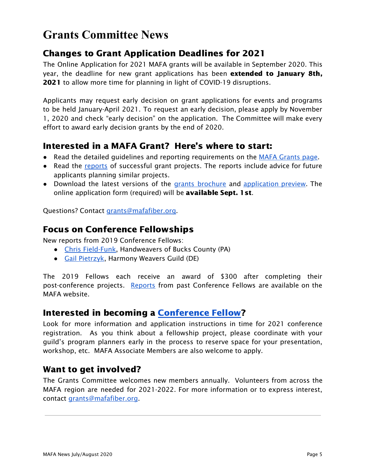# **Grants Committee News**

## Changes to Grant Application Deadlines for 2021

The Online Application for 2021 MAFA grants will be available in September 2020. This year, the deadline for new grant applications has been **extended to January 8th,** 2021 to allow more time for planning in light of COVID-19 disruptions.

Applicants may request early decision on grant applications for events and programs to be held January-April 2021. To request an early decision, please apply by November 1, 2020 and check "early decision" on the application. The Committee will make every effort to award early decision grants by the end of 2020.

## Interested in a MAFA Grant? Here's where to start:

- Read the detailed guidelines and reporting requirements on the MAFA [Grants](https://mafafiber.org/grants/guild-grants/) [page.](https://mafafiber.org/grants/guild-grants/)
- Read the [reports](https://mafafiber.org/grants/guild-grants/grant-awards/) of successful grant projects. The reports include advice for future applicants planning similar projects.
- Download the latest versions of the grants [brochure](https://mafafiber.org/wp-content/uploads/Grants/Grants-Brochure_0619.pdf) and [application](https://mafafiber.org/wp-content/uploads/2019/08/Forms/MAFA-GRANT-APPLICATION-Preview.pdf) preview. The online application form (required) will be available Sept. 1st.

Questions? Contact [grants@mafafiber.org.](mailto:grants@mafafiber.org)

## Focus on Conference Fellowships

New reports from 2019 Conference Fellows:

- Chris [Field-Funk](https://qfi1v24de8p10yvtvdaquwng-wpengine.netdna-ssl.com/wp-content/uploads/Grants/FellowshipReports/2019_FieldFunk.pdf), Handweavers of Bucks County (PA)
- Gail [Pietrzyk](https://qfi1v24de8p10yvtvdaquwng-wpengine.netdna-ssl.com/wp-content/uploads/Grants/FellowshipReports/2019_Pietrzyk.pdf), Harmony Weavers Guild (DE)

The 2019 Fellows each receive an award of \$300 after completing their post-conference projects. [Reports](https://mafafiber.org/grants/fellowships/fellowship-awards/) from past Conference Fellows are available on the MAFA website.

## Interested in becoming a [Conference](https://mafafiber.org/grants/fellowships/) Fellow?

Look for more information and application instructions in time for 2021 conference registration. As you think about a fellowship project, please coordinate with your guild's program planners early in the process to reserve space for your presentation, workshop, etc. MAFA Associate Members are also welcome to apply.

## Want to get involved?

The Grants Committee welcomes new members annually. Volunteers from across the MAFA region are needed for 2021-2022. For more information or to express interest, contact [grants@mafafiber.org.](mailto:grants@mafafiber.org)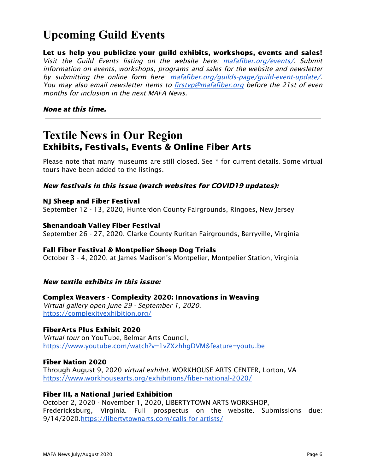# **Upcoming Guild Events**

Let us help you publicize your guild exhibits, workshops, events and sales! Visit the Guild Events listing on the website here: [mafafiber.org/events/](https://mafafiber.org/events/). Submit information on events, workshops, programs and sales for the website and newsletter by submitting the online form here: [mafafiber.org/guilds-page/guild-event-update/](https://mafafiber.org/guilds-page/guild-event-update/). You may also email newsletter items to firstyp@mafafiber.org before the 21st of even months for inclusion in the next MAFA News.

#### None at this time.

# **Textile News in Our Region** Exhibits, Festivals, Events & Online Fiber Arts

Please note that many museums are still closed. See \* for current details. Some virtual tours have been added to the listings.

#### New festivals in this issue (watch websites for COVID19 updates):

#### NJ Sheep and Fiber Festival

September 12 - 13, 2020, Hunterdon County Fairgrounds, Ringoes, New Jersey

#### Shenandoah Valley Fiber Festival

September 26 - 27, 2020, Clarke County Ruritan Fairgrounds, Berryville, Virginia

#### Fall Fiber Festival & Montpelier Sheep Dog Trials

October 3 - 4, 2020, at James Madison's Montpelier, Montpelier Station, Virginia

#### New textile exhibits in this issue:

#### Complex Weavers - Complexity 2020: Innovations in Weaving

Virtual gallery open June 29 - September 1, 2020. <https://complexityexhibition.org/>

#### FiberArts Plus Exhibit 2020

Virtual tour on YouTube, Belmar Arts Council, <https://www.youtube.com/watch?v=1vZXzhhgDVM&feature=youtu.be>

#### Fiber Nation 2020

Through August 9, 2020 virtual exhibit. WORKHOUSE ARTS CENTER, Lorton, VA <https://www.workhousearts.org/exhibitions/fiber-national-2020/>

#### Fiber III, a National Juried Exhibition

October 2, 2020 - November 1, 2020, LIBERTYTOWN ARTS WORKSHOP, Fredericksburg, Virginia. Full prospectus on the website. Submissions due: 9/14/2020[.https://libertytownarts.com/calls-for-artists/](https://libertytownarts.com/calls-for-artists/)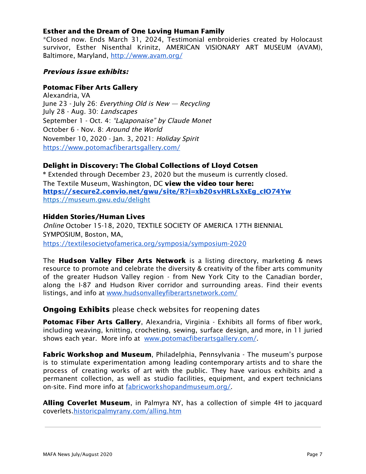#### Esther and the Dream of One Loving Human Family

\*Closed now. Ends March 31, 2024, Testimonial embroideries created by Holocaust survivor, Esther Nisenthal Krinitz, AMERICAN VISIONARY ART MUSEUM (AVAM), Baltimore, Maryland, <http://www.avam.org/>

#### Previous issue exhibits:

#### Potomac Fiber Arts Gallery

Alexandria, VA June 23 - July 26: Everything Old is New — Recycling July 28 - Aug. 30: Landscapes September 1 - Oct. 4: "LaJaponaise" by Claude Monet October 6 - Nov. 8: Around the World November 10, 2020 - Jan. 3, 2021: Holiday Spirit <https://www.potomacfiberartsgallery.com/>

#### Delight in Discovery: The Global Collections of Lloyd Cotsen

\* Extended through December 23, 2020 but the museum is currently closed. The Textile Museum, Washington, DC view the video tour here: [https://secure2.convio.net/gwu/site/R?i=xb20svHRLsXxEg\\_cIO74Yw](https://secure2.convio.net/gwu/site/R?i=xb20svHRLsXxEg_cIO74Yw) https://museum.gwu.edu/delight

#### Hidden Stories/Human Lives

Online October 15-18, 2020, TEXTILE SOCIETY OF AMERICA 17TH BIENNIAL SYMPOSIUM, Boston, MA, <https://textilesocietyofamerica.org/symposia/symposium-2020>

The **Hudson Valley Fiber Arts Network** is a listing directory, marketing & news resource to promote and celebrate the diversity & creativity of the fiber arts community of the greater Hudson Valley region - from New York City to the Canadian border, along the I-87 and Hudson River corridor and surrounding areas. Find their events listings, and info at [www.hudsonvalleyfiberartsnetwork.com/](http://www.hudsonvalleyfiberartsnetwork.com/)

#### **Ongoing Exhibits** please check websites for reopening dates

**Potomac Fiber Arts Gallery, Alexandria, Virginia - Exhibits all forms of fiber work,** including weaving, knitting, crocheting, sewing, surface design, and more, in 11 juried shows each year. More info at [www.potomacfiberartsgallery.com/](http://www.potomacfiberartsgallery.com/).

**Fabric Workshop and Museum**, Philadelphia, Pennsylvania - The museum's purpose is to stimulate experimentation among leading contemporary artists and to share the process of creating works of art with the public. They have various exhibits and a permanent collection, as well as studio facilities, equipment, and expert technicians on-site. Find more info at [fabricworkshopandmuseum.org/.](http://fabricworkshopandmuseum.org/)

Alling Coverlet Museum, in Palmyra NY, has a collection of simple 4H to jacquard coverlets[.historicpalmyrany.com/alling.htm](http://historicpalmyrany.com/alling.htm)